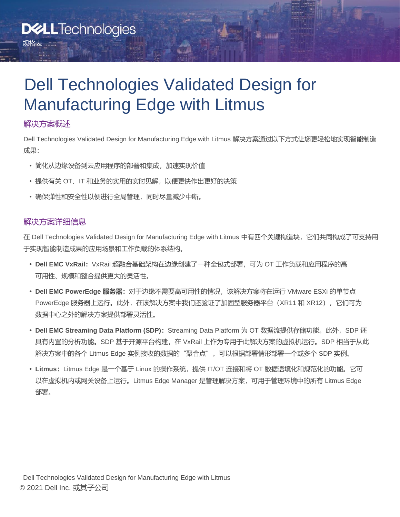# Dell Technologies Validated Design for Manufacturing Edge with Litmus

### 解决方案概述

规格表

Dell Technologies Validated Design for Manufacturing Edge with Litmus 解决方案通过以下方式让您更轻松地实现智能制造 成果:

- 简化从边缘设备到云应用程序的部署和集成,加速实现价值
- 提供有关 OT、IT 和业务的实用的实时见解,以便更快作出更好的决策
- 确保弹性和安全性以便进行全局管理,同时尽量减少中断。

### 解决方案详细信息

在 Dell Technologies Validated Design for Manufacturing Edge with Litmus 中有四个关键构造块, 它们共同构成了可支持用 于实现智能制造成果的应用场景和工作负载的体系结构。

- **• Dell EMC VxRail:**VxRail 超融合基础架构在边缘创建了一种全包式部署,可为 OT 工作负载和应用程序的高 可用性、规模和整合提供更大的灵活性。
- **• Dell EMC PowerEdge 服务器:**对于边缘不需要高可用性的情况,该解决方案将在运行 VMware ESXi 的单节点 PowerEdge 服务器上运行。此外,在该解决方案中我们还验证了加固型服务器平台(XR11 和 XR12),它们可为 数据中心之外的解决方案提供部署灵活性。
- Dell EMC Streaming Data Platform (SDP): Streaming Data Platform 为 OT 数据流提供存储功能。此外, SDP 还 具有内置的分析功能。SDP 基于开源平台构建,在 VxRail 上作为专用于此解决方案的虚拟机运行。SDP 相当于从此 解决方案中的各个 Litmus Edge 实例接收的数据的"聚合点"。可以根据部署情形部署一个或多个 SDP 实例。
- **• Litmus:**Litmus Edge 是一个基于 Linux 的操作系统,提供 IT/OT 连接和将 OT 数据语境化和规范化的功能。它可 以在虚拟机内或网关设备上运行。Litmus Edge Manager 是管理解决方案, 可用于管理环境中的所有 Litmus Edge 部署。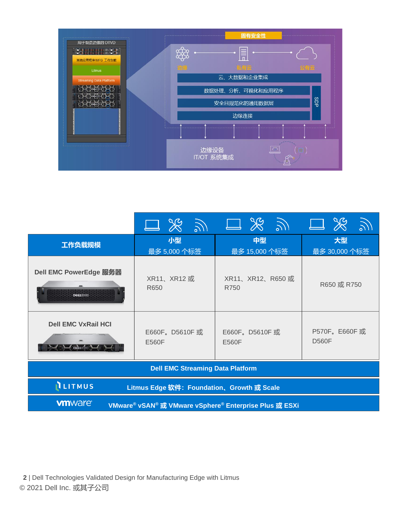

|                                                                                                                           |                        | $\Box$ $\Re$ $\Im$ $\Box$ $\Re$ $\Im$ $\Box$ | $\Box$ $\%$                  |  |  |  |
|---------------------------------------------------------------------------------------------------------------------------|------------------------|----------------------------------------------|------------------------------|--|--|--|
| 工作负载规模                                                                                                                    | 小型<br>最多 5,000 个标签     | 中型<br>最多 15,000 个标签                          | 大型<br>最多 30,000 个标签          |  |  |  |
| Dell EMC PowerEdge 服务器<br><b>DEALLEME</b>                                                                                 | XR11、XR12或<br>R650     | XR11、XR12、R650或<br>R750                      | R650 或 R750                  |  |  |  |
| <b>Dell EMC VxRail HCI</b>                                                                                                | E660F。D5610F或<br>E560F | E660F。D5610F或<br>E560F                       | P570F。E660F或<br><b>D560F</b> |  |  |  |
| <b>Dell EMC Streaming Data Platform</b>                                                                                   |                        |                                              |                              |  |  |  |
| <b>ILITMUS</b><br>Litmus Edge 软件: Foundation、Growth 或 Scale                                                               |                        |                                              |                              |  |  |  |
| <b>vm</b> ware <sup>®</sup><br>VMware <sup>®</sup> vSAN <sup>®</sup> 或 VMware vSphere <sup>®</sup> Enterprise Plus 或 ESXi |                        |                                              |                              |  |  |  |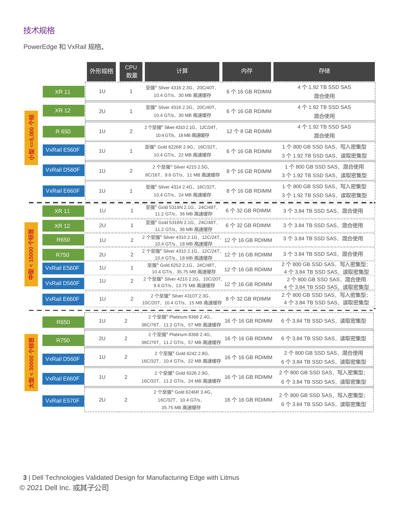## 技术规格

PowerEdge 和 VxRail 规格。

|                     |              | 外形规格 | <b>CPU</b><br>数量 | 计算                                                                       | 内存               | 存储                                                                                 |
|---------------------|--------------|------|------------------|--------------------------------------------------------------------------|------------------|------------------------------------------------------------------------------------|
|                     | <b>XR 11</b> | 1U   | 1                | 至强 <sup>®</sup> Silver 4316 2.3G, 20C/40T,<br>10.4 GT/s, 30 MB 高速缓存      | 6个16 GB RDIMM    | 4个1.92 TB SSD SAS<br>混合使用                                                          |
| 修<br>5,000<br>뢫     | <b>XR 12</b> | 2U   | 1                | 至强 <sup>®</sup> Silver 4316 2.3G, 20C/40T,<br>10.4 GT/s, 30 MB 高速缓存      | 6个16 GB RDIMM    | 4个1.92 TB SSD SAS<br>混合使用                                                          |
|                     | R 650        | 1U   | $\overline{2}$   | 2个至强® Silver 4310 2.1G, 12C/24T,<br>10.4 GT/s, 18 MB 高速缓存                | 12个8 GB RDIMM    | 4个1.92 TB SSD SAS<br>混合使用                                                          |
|                     | VxRail E560F | 1U   | 1                | 至强 <sup>®</sup> Gold 6226R 2.9G, 16C/32T,<br>10.4 GT/s, 22 MB 高速缓存       | 6个16 GB RDIMM    | 1个800 GB SSD SAS,写入密集型<br>3 个 1.92 TB SSD SAS, 读取密集型                               |
|                     | VxRail D560F | 1U   | 2                | 2个至强® Silver 4215 2.5G,<br>8C/16T, 9.6 GT/s, 11 MB 高速缓存                  | 8个16 GB RDIMM    | 1个 800 GB SSD SAS, 混合使用<br>3个 1.92 TB SSD SAS,读取密集型                                |
|                     | VxRail E660F | 1U   | 1                | 至强 <sup>®</sup> Silver 4314 2.4G, 16C/32T,<br>10.4 GT/s,24 MB 高速缓存       | 8个16 GB RDIMM    | 1个 800 GB SSD SAS, 写入密集型<br>3个 1.92 TB SSD SAS, 读取密集型                              |
|                     | <b>XR 11</b> | 1U   |                  | 至强 <sup>®</sup> Gold 5318N 2.1G, 24C/48T,<br>11.2 GT/s, 36 MB 高速缓存       | 6 个 32 GB RDIMM  | 3个 3.84 TB SSD SAS, 混合使用                                                           |
| 全商额<br>< 15000<br>뢦 | <b>XR 12</b> | 2U   |                  | 至强® Gold 5318N 2.1G,24C/48T,<br>11.2 GT/s, 36 MB 高速缓存                    | 6 个 32 GB RDIMM  | 3 个 3.84 TB SSD SAS,混合使用                                                           |
|                     | R650         | 1U   | 2                | 2个至强 <sup>®</sup> Silver 4310 2.1G, 12C/24T,<br>10.4 GT/s, 18 MB 高速缓存    | 12个16 GB RDIMM   | 3个 3.84 TB SSD SAS, 混合使用<br>                                                       |
|                     | R750         | 2U   | 2                | 2个至强 <sup>®</sup> Silver 4310 2.1G, 12C/24T,<br>10.4 GT/s,18 MB 高速缓存     | 12个16 GB RDIMM   | 3个 3.84 TB SSD SAS, 混合使用                                                           |
|                     | VxRail E560F | 1U   | 1                | 至强® Gold 6252 2.1G, 24C/48T,<br>10.4 GT/s,35.75 MB 高速缓存                  | 12个16 GB RDIMM   | 2个800 GB SSD SAS, 写入密集型;<br>4个 3.84 TB SSD SAS, 读取密集型                              |
|                     | VxRail D560F | 1U   | 2                | 2个至强 <sup>®</sup> Silver 4210 2.2G, 10C/20T,<br>9.6 GT/s,13.75 MB 高速缓存   | 12 个 16 GB RDIMM | 2个800 GB SSD SAS, 混合使用<br><u>4个 3.84 TB SSD SAS,读取密集型</u>                          |
|                     | VxRail E660F | 1U   | 2                | 2个至强 <sup>®</sup> Silver 4310T 2.3G,<br>10C/20T,10.4 GT/s,15 MB 高速缓存     | 8个32 GB RDIMM    | 2个800 GB SSD SAS, 写入密集型;<br>4 个 3.84 TB SSD SAS,读取密集型                              |
|                     | R650         | 1U   | $\overline{2}$   | 2 个至强 <sup>®</sup> Platinum 8368 2.4G,<br>38C/76T, 11.2 GT/s, 57 MB 高速缓存 | 16个16 GB RDIMM   | 6个 3.84 TB SSD SAS, 读取密集型                                                          |
| 旅游                  | R750         | 2U   | $\overline{2}$   | 2 个至强 <sup>®</sup> Platinum 8368 2.4G,<br>38C/76T, 11.2 GT/s, 57 MB 高速缓存 | 16个 16 GB RDIMM  | 6 个 3.84 TB SSD SAS,读取密集型                                                          |
| 大型<30000            | VxRail D560F | 1U   | 2                | 2个至强® Gold 6242 2.8G,<br>16C/32T, 10.4 GT/s, 22 MB 高速缓存                  | 16个16 GB RDIMM   | 2 个 800 GB SSD SAS,混合使用                                                            |
|                     | VxRail E660F | 1U   | $\overline{2}$   | 2个至强® Gold 6326 2.9G,<br>16C/32T, 11.2 GT/s, 24 MB 高速缓存                  | 16个16 GB RDIMM   | 6个 3.84 TB SSD SAS, 读取密集型<br>2个800 GB SSD SAS, 写入密集型;<br>6个 3.84 TB SSD SAS, 读取密集型 |
|                     | VxRail E570F | 2U   | 2                | 2个至强® Gold 6246R 3.4G,<br>16C/32T, 10.4 GT/s,<br>35.75 MB 高速缓存           | 16个16 GB RDIMM   | 2个800 GB SSD SAS, 写入密集型;<br>6 个 3.84 TB SSD SAS, 读取密集型                             |